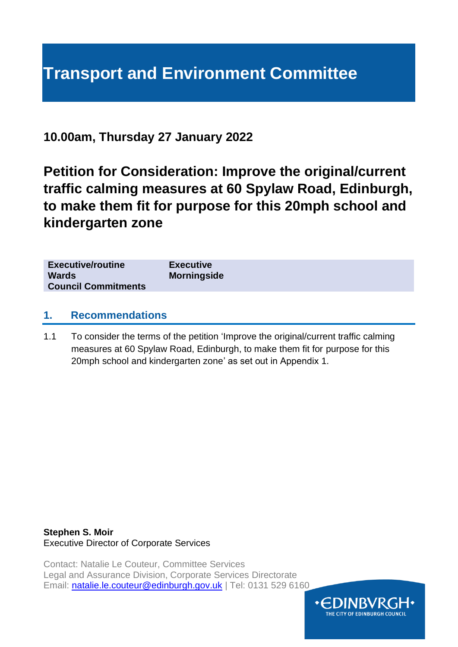# **Transport and Environment Committee**

**10.00am, Thursday 27 January 2022**

**Petition for Consideration: Improve the original/current traffic calming measures at 60 Spylaw Road, Edinburgh, to make them fit for purpose for this 20mph school and kindergarten zone**

| <b>Executive/routine</b><br><b>Wards</b><br><b>Council Commitments</b> | <b>Executive</b><br><b>Morningside</b> |
|------------------------------------------------------------------------|----------------------------------------|
|                                                                        |                                        |

#### **1. Recommendations**

1.1 To consider the terms of the petition 'Improve the original/current traffic calming measures at 60 Spylaw Road, Edinburgh, to make them fit for purpose for this 20mph school and kindergarten zone' as set out in Appendix 1.

**Stephen S. Moir** Executive Director of Corporate Services

Contact: Natalie Le Couteur, Committee Services Legal and Assurance Division, Corporate Services Directorate Email: [natalie.le.couteur@edinburgh.gov.uk](mailto:natalie.le.couteur@edinburgh.gov.uk) | Tel: 0131 529 6160

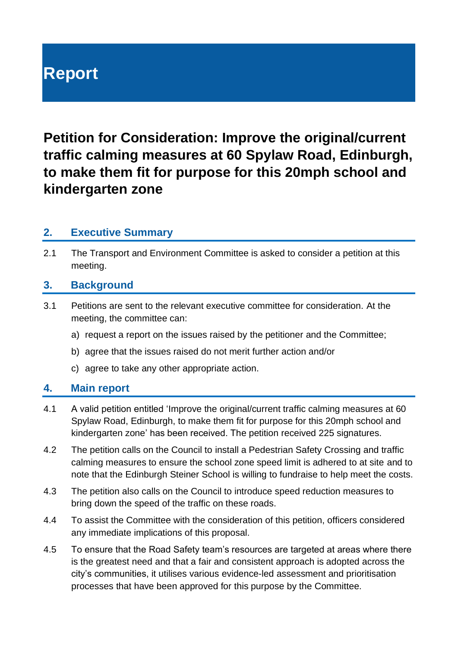# **Report**

**Petition for Consideration: Improve the original/current traffic calming measures at 60 Spylaw Road, Edinburgh, to make them fit for purpose for this 20mph school and kindergarten zone**

#### **2. Executive Summary**

2.1 The Transport and Environment Committee is asked to consider a petition at this meeting.

#### **3. Background**

- 3.1 Petitions are sent to the relevant executive committee for consideration. At the meeting, the committee can:
	- a) request a report on the issues raised by the petitioner and the Committee;
	- b) agree that the issues raised do not merit further action and/or
	- c) agree to take any other appropriate action.

#### **4. Main report**

- 4.1 A valid petition entitled 'Improve the original/current traffic calming measures at 60 Spylaw Road, Edinburgh, to make them fit for purpose for this 20mph school and kindergarten zone' has been received. The petition received 225 signatures.
- 4.2 The petition calls on the Council to install a Pedestrian Safety Crossing and traffic calming measures to ensure the school zone speed limit is adhered to at site and to note that the Edinburgh Steiner School is willing to fundraise to help meet the costs.
- 4.3 The petition also calls on the Council to introduce speed reduction measures to bring down the speed of the traffic on these roads.
- 4.4 To assist the Committee with the consideration of this petition, officers considered any immediate implications of this proposal.
- 4.5 To ensure that the Road Safety team's resources are targeted at areas where there is the greatest need and that a fair and consistent approach is adopted across the city's communities, it utilises various evidence-led assessment and prioritisation processes that have been approved for this purpose by the Committee.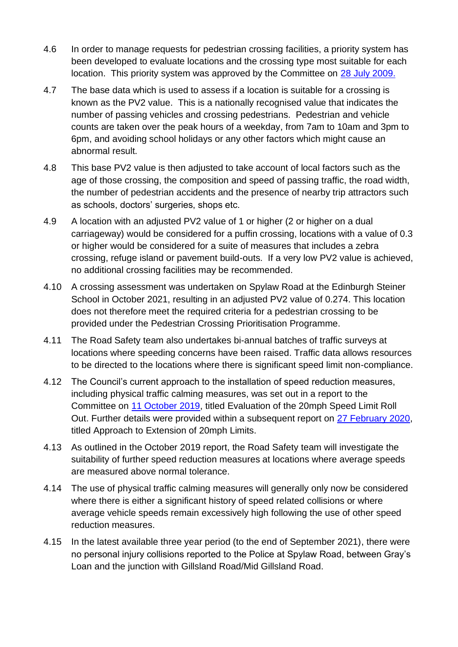- 4.6 In order to manage requests for pedestrian crossing facilities, a priority system has been developed to evaluate locations and the crossing type most suitable for each location. This priority system was approved by the Committee on [28 July 2009.](https://democracy.edinburgh.gov.uk/Data/Transport,%20Infrastructure%20and%20Environment%20Committee/20090728/Agenda/pedestrian_crossing_prioritisation_process.pdf)
- 4.7 The base data which is used to assess if a location is suitable for a crossing is known as the PV2 value. This is a nationally recognised value that indicates the number of passing vehicles and crossing pedestrians. Pedestrian and vehicle counts are taken over the peak hours of a weekday, from 7am to 10am and 3pm to 6pm, and avoiding school holidays or any other factors which might cause an abnormal result.
- 4.8 This base PV2 value is then adjusted to take account of local factors such as the age of those crossing, the composition and speed of passing traffic, the road width, the number of pedestrian accidents and the presence of nearby trip attractors such as schools, doctors' surgeries, shops etc.
- 4.9 A location with an adjusted PV2 value of 1 or higher (2 or higher on a dual carriageway) would be considered for a puffin crossing, locations with a value of 0.3 or higher would be considered for a suite of measures that includes a zebra crossing, refuge island or pavement build-outs. If a very low PV2 value is achieved, no additional crossing facilities may be recommended.
- 4.10 A crossing assessment was undertaken on Spylaw Road at the Edinburgh Steiner School in October 2021, resulting in an adjusted PV2 value of 0.274. This location does not therefore meet the required criteria for a pedestrian crossing to be provided under the Pedestrian Crossing Prioritisation Programme.
- 4.11 The Road Safety team also undertakes bi-annual batches of traffic surveys at locations where speeding concerns have been raised. Traffic data allows resources to be directed to the locations where there is significant speed limit non-compliance.
- 4.12 The Council's current approach to the installation of speed reduction measures, including physical traffic calming measures, was set out in a report to the Committee on [11 October 2019,](https://democracy.edinburgh.gov.uk/ieListDocuments.aspx?CId=136&MId=330&Ver=4) titled Evaluation of the 20mph Speed Limit Roll Out. Further details were provided within a subsequent report on [27 February 2020,](https://democracy.edinburgh.gov.uk/documents/s14506/Item%207.3%20-%20106898_Approach%20to%20Extension%20of%2020mph%20Speed%20Limits_270220_v1.4.pdf) titled Approach to Extension of 20mph Limits.
- 4.13 As outlined in the October 2019 report, the Road Safety team will investigate the suitability of further speed reduction measures at locations where average speeds are measured above normal tolerance.
- 4.14 The use of physical traffic calming measures will generally only now be considered where there is either a significant history of speed related collisions or where average vehicle speeds remain excessively high following the use of other speed reduction measures.
- 4.15 In the latest available three year period (to the end of September 2021), there were no personal injury collisions reported to the Police at Spylaw Road, between Gray's Loan and the junction with Gillsland Road/Mid Gillsland Road.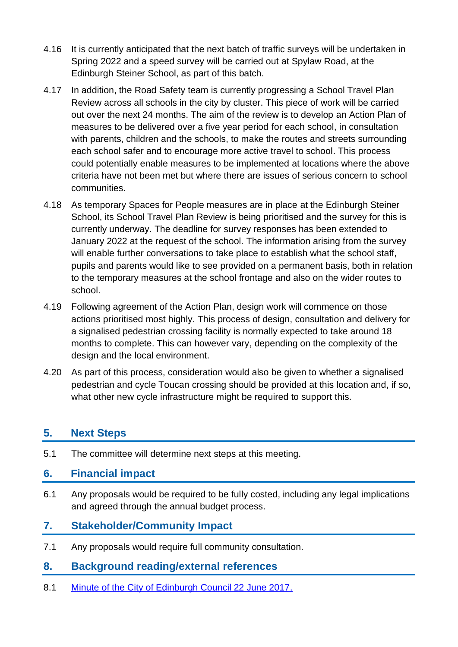- 4.16 It is currently anticipated that the next batch of traffic surveys will be undertaken in Spring 2022 and a speed survey will be carried out at Spylaw Road, at the Edinburgh Steiner School, as part of this batch.
- 4.17 In addition, the Road Safety team is currently progressing a School Travel Plan Review across all schools in the city by cluster. This piece of work will be carried out over the next 24 months. The aim of the review is to develop an Action Plan of measures to be delivered over a five year period for each school, in consultation with parents, children and the schools, to make the routes and streets surrounding each school safer and to encourage more active travel to school. This process could potentially enable measures to be implemented at locations where the above criteria have not been met but where there are issues of serious concern to school communities.
- 4.18 As temporary Spaces for People measures are in place at the Edinburgh Steiner School, its School Travel Plan Review is being prioritised and the survey for this is currently underway. The deadline for survey responses has been extended to January 2022 at the request of the school. The information arising from the survey will enable further conversations to take place to establish what the school staff, pupils and parents would like to see provided on a permanent basis, both in relation to the temporary measures at the school frontage and also on the wider routes to school.
- 4.19 Following agreement of the Action Plan, design work will commence on those actions prioritised most highly. This process of design, consultation and delivery for a signalised pedestrian crossing facility is normally expected to take around 18 months to complete. This can however vary, depending on the complexity of the design and the local environment.
- 4.20 As part of this process, consideration would also be given to whether a signalised pedestrian and cycle Toucan crossing should be provided at this location and, if so, what other new cycle infrastructure might be required to support this.

#### **5. Next Steps**

5.1 The committee will determine next steps at this meeting.

#### **6. Financial impact**

6.1 Any proposals would be required to be fully costed, including any legal implications and agreed through the annual budget process.

#### **7. Stakeholder/Community Impact**

7.1 Any proposals would require full community consultation.

#### **8. Background reading/external references**

8.1 [Minute of the City of Edinburgh Council 22 June 2017.](https://democracy.edinburgh.gov.uk/CeListDocuments.aspx?CommitteeId=150&MeetingId=1004&DF=22%2f06%2f2017&Ver=2)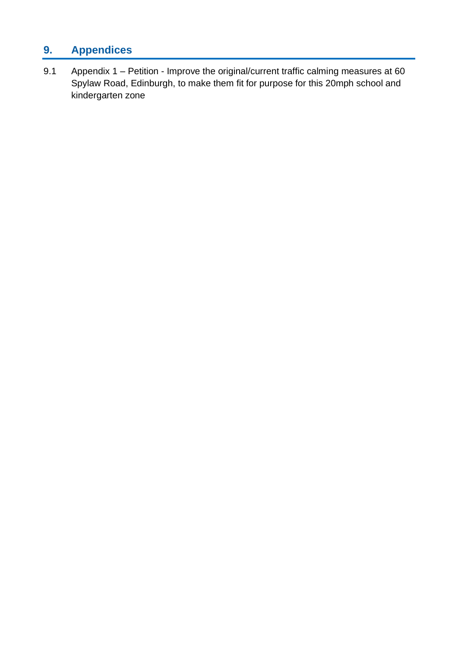### **9. Appendices**

9.1 Appendix 1 – Petition - Improve the original/current traffic calming measures at 60 Spylaw Road, Edinburgh, to make them fit for purpose for this 20mph school and kindergarten zone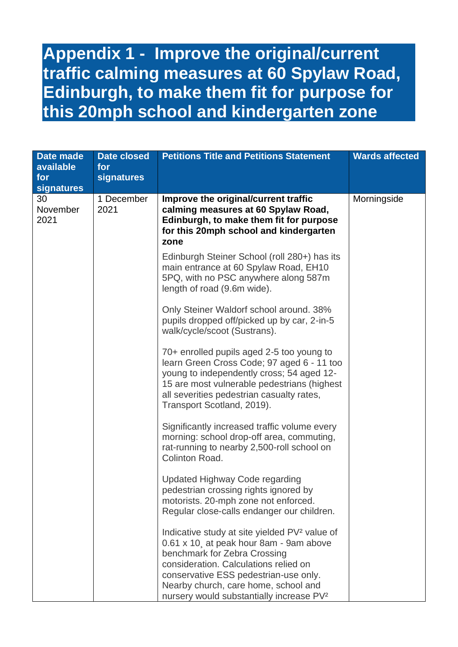## **Appendix 1 - Improve the original/current traffic calming measures at 60 Spylaw Road, Edinburgh, to make them fit for purpose for this 20mph school and kindergarten zone**

| Date made<br>available<br>for<br>signatures | <b>Date closed</b><br>for<br>signatures | <b>Petitions Title and Petitions Statement</b>                                                                                                                                                                                                                                                                         | <b>Wards affected</b> |
|---------------------------------------------|-----------------------------------------|------------------------------------------------------------------------------------------------------------------------------------------------------------------------------------------------------------------------------------------------------------------------------------------------------------------------|-----------------------|
| 30<br>November<br>2021                      | 1 December<br>2021                      | Improve the original/current traffic<br>calming measures at 60 Spylaw Road,<br>Edinburgh, to make them fit for purpose<br>for this 20mph school and kindergarten<br>zone                                                                                                                                               | Morningside           |
|                                             |                                         | Edinburgh Steiner School (roll 280+) has its<br>main entrance at 60 Spylaw Road, EH10<br>5PQ, with no PSC anywhere along 587m<br>length of road (9.6m wide).                                                                                                                                                           |                       |
|                                             |                                         | Only Steiner Waldorf school around. 38%<br>pupils dropped off/picked up by car, 2-in-5<br>walk/cycle/scoot (Sustrans).                                                                                                                                                                                                 |                       |
|                                             |                                         | 70+ enrolled pupils aged 2-5 too young to<br>learn Green Cross Code; 97 aged 6 - 11 too<br>young to independently cross; 54 aged 12-<br>15 are most vulnerable pedestrians (highest<br>all severities pedestrian casualty rates,<br>Transport Scotland, 2019).                                                         |                       |
|                                             |                                         | Significantly increased traffic volume every<br>morning: school drop-off area, commuting,<br>rat-running to nearby 2,500-roll school on<br>Colinton Road.                                                                                                                                                              |                       |
|                                             |                                         | Updated Highway Code regarding<br>pedestrian crossing rights ignored by<br>motorists. 20-mph zone not enforced.<br>Regular close-calls endanger our children.                                                                                                                                                          |                       |
|                                             |                                         | Indicative study at site yielded PV <sup>2</sup> value of<br>0.61 x 10, at peak hour 8am - 9am above<br>benchmark for Zebra Crossing<br>consideration. Calculations relied on<br>conservative ESS pedestrian-use only.<br>Nearby church, care home, school and<br>nursery would substantially increase PV <sup>2</sup> |                       |